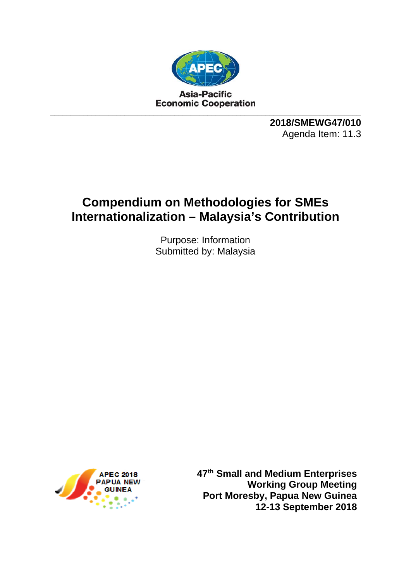

**2018/SMEWG47/010**  Agenda Item: 11.3

# **Compendium on Methodologies for SMEs Internationalization – Malaysia's Contribution**

Purpose: Information Submitted by: Malaysia



**47th Small and Medium Enterprises Working Group Meeting Port Moresby, Papua New Guinea 12-13 September 2018**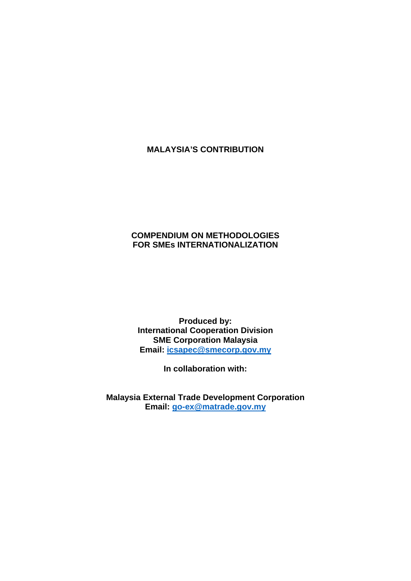## **MALAYSIA'S CONTRIBUTION**

### **COMPENDIUM ON METHODOLOGIES FOR SMEs INTERNATIONALIZATION**

**Produced by: International Cooperation Division SME Corporation Malaysia Email: icsapec@smecorp.gov.my** 

**In collaboration with:** 

**Malaysia External Trade Development Corporation Email: go-ex@matrade.gov.my**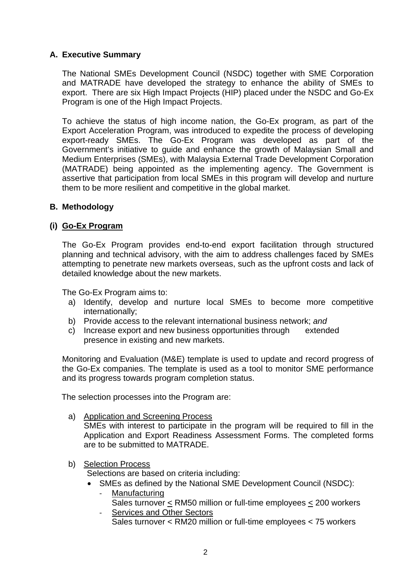## **A. Executive Summary**

The National SMEs Development Council (NSDC) together with SME Corporation and MATRADE have developed the strategy to enhance the ability of SMEs to export. There are six High Impact Projects (HIP) placed under the NSDC and Go-Ex Program is one of the High Impact Projects.

To achieve the status of high income nation, the Go-Ex program, as part of the Export Acceleration Program, was introduced to expedite the process of developing export-ready SMEs. The Go-Ex Program was developed as part of the Government's initiative to guide and enhance the growth of Malaysian Small and Medium Enterprises (SMEs), with Malaysia External Trade Development Corporation (MATRADE) being appointed as the implementing agency. The Government is assertive that participation from local SMEs in this program will develop and nurture them to be more resilient and competitive in the global market.

#### **B. Methodology**

#### **(i) Go-Ex Program**

The Go-Ex Program provides end-to-end export facilitation through structured planning and technical advisory, with the aim to address challenges faced by SMEs attempting to penetrate new markets overseas, such as the upfront costs and lack of detailed knowledge about the new markets.

The Go-Ex Program aims to:

- a) Identify, develop and nurture local SMEs to become more competitive internationally;
- b) Provide access to the relevant international business network; *and*
- c) Increase export and new business opportunities through extended presence in existing and new markets.

Monitoring and Evaluation (M&E) template is used to update and record progress of the Go-Ex companies. The template is used as a tool to monitor SME performance and its progress towards program completion status.

The selection processes into the Program are:

a) Application and Screening Process

SMEs with interest to participate in the program will be required to fill in the Application and Export Readiness Assessment Forms. The completed forms are to be submitted to MATRADE.

## b) Selection Process

Selections are based on criteria including:

- SMEs as defined by the National SME Development Council (NSDC):
	- Manufacturing Sales turnover < RM50 million or full-time employees < 200 workers
		- Services and Other Sectors Sales turnover < RM20 million or full-time employees < 75 workers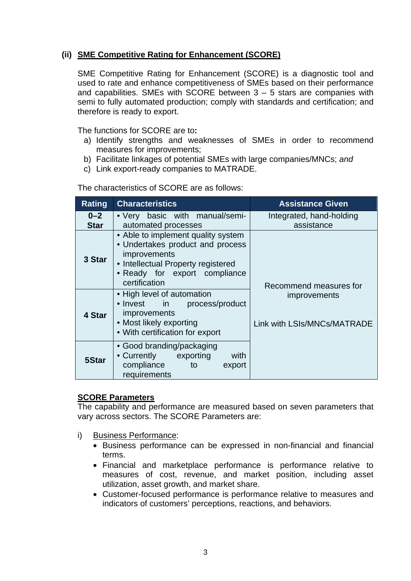## **(ii) SME Competitive Rating for Enhancement (SCORE)**

SME Competitive Rating for Enhancement (SCORE) is a diagnostic tool and used to rate and enhance competitiveness of SMEs based on their performance and capabilities. SMEs with SCORE between  $3 - 5$  stars are companies with semi to fully automated production; comply with standards and certification; and therefore is ready to export.

The functions for SCORE are to**:** 

- a) Identify strengths and weaknesses of SMEs in order to recommend measures for improvements;
- b) Facilitate linkages of potential SMEs with large companies/MNCs; *and*
- c) Link export-ready companies to MATRADE.

The characteristics of SCORE are as follows:

| Rating                 | <b>Characteristics</b>                                                                                                                                                                | <b>Assistance Given</b>                            |
|------------------------|---------------------------------------------------------------------------------------------------------------------------------------------------------------------------------------|----------------------------------------------------|
| $0 - 2$<br><b>Star</b> | • Very basic with manual/semi-<br>automated processes                                                                                                                                 | Integrated, hand-holding<br>assistance             |
| 3 Star                 | • Able to implement quality system<br>• Undertakes product and process<br><i>improvements</i><br>• Intellectual Property registered<br>• Ready for export compliance<br>certification | Recommend measures for                             |
| 4 Star                 | • High level of automation<br>• Invest in<br>process/product<br>improvements<br>• Most likely exporting<br>• With certification for export                                            | <i>improvements</i><br>Link with LSIs/MNCs/MATRADE |
| 5Star                  | • Good branding/packaging<br>• Currently exporting<br>with<br>compliance<br>to<br>export<br>requirements                                                                              |                                                    |

#### **SCORE Parameters**

The capability and performance are measured based on seven parameters that vary across sectors. The SCORE Parameters are:

- i) Business Performance:
	- Business performance can be expressed in non-financial and financial terms.
	- Financial and marketplace performance is performance relative to measures of cost, revenue, and market position, including asset utilization, asset growth, and market share.
	- Customer-focused performance is performance relative to measures and indicators of customers' perceptions, reactions, and behaviors.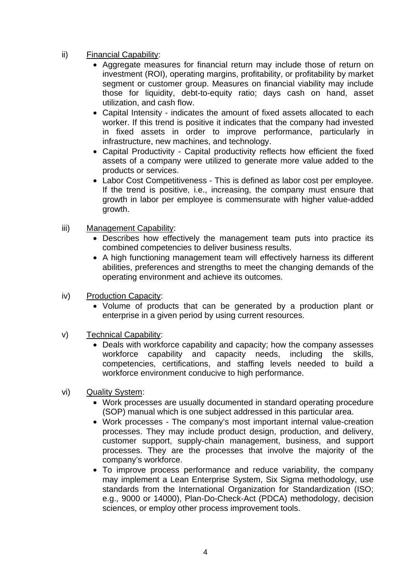- ii) Financial Capability:
	- Aggregate measures for financial return may include those of return on investment (ROI), operating margins, profitability, or profitability by market segment or customer group. Measures on financial viability may include those for liquidity, debt-to-equity ratio; days cash on hand, asset utilization, and cash flow.
	- Capital Intensity indicates the amount of fixed assets allocated to each worker. If this trend is positive it indicates that the company had invested in fixed assets in order to improve performance, particularly in infrastructure, new machines, and technology.
	- Capital Productivity Capital productivity reflects how efficient the fixed assets of a company were utilized to generate more value added to the products or services.
	- Labor Cost Competitiveness This is defined as labor cost per employee. If the trend is positive, i.e., increasing, the company must ensure that growth in labor per employee is commensurate with higher value-added growth.
- iii) Management Capability:
	- Describes how effectively the management team puts into practice its combined competencies to deliver business results.
	- A high functioning management team will effectively harness its different abilities, preferences and strengths to meet the changing demands of the operating environment and achieve its outcomes.
- iv) Production Capacity:
	- Volume of products that can be generated by a production plant or enterprise in a given period by using current resources.
- v) Technical Capability:
	- Deals with workforce capability and capacity; how the company assesses workforce capability and capacity needs, including the skills, competencies, certifications, and staffing levels needed to build a workforce environment conducive to high performance.
- vi) Quality System:
	- Work processes are usually documented in standard operating procedure (SOP) manual which is one subject addressed in this particular area.
	- Work processes The company's most important internal value-creation processes. They may include product design, production, and delivery, customer support, supply-chain management, business, and support processes. They are the processes that involve the majority of the company's workforce.
	- To improve process performance and reduce variability, the company may implement a Lean Enterprise System, Six Sigma methodology, use standards from the International Organization for Standardization (ISO; e.g., 9000 or 14000), Plan-Do-Check-Act (PDCA) methodology, decision sciences, or employ other process improvement tools.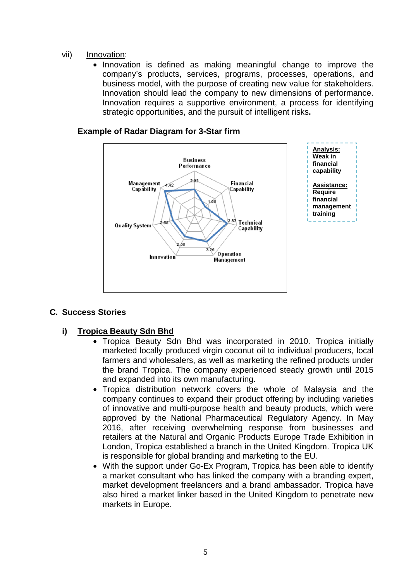#### vii) Innovation:

• Innovation is defined as making meaningful change to improve the company's products, services, programs, processes, operations, and business model, with the purpose of creating new value for stakeholders. Innovation should lead the company to new dimensions of performance. Innovation requires a supportive environment, a process for identifying strategic opportunities, and the pursuit of intelligent risks**.** 



#### **Example of Radar Diagram for 3-Star firm**

#### **C. Success Stories**

## **i) Tropica Beauty Sdn Bhd**

- Tropica Beauty Sdn Bhd was incorporated in 2010. Tropica initially marketed locally produced virgin coconut oil to individual producers, local farmers and wholesalers, as well as marketing the refined products under the brand Tropica. The company experienced steady growth until 2015 and expanded into its own manufacturing.
- Tropica distribution network covers the whole of Malaysia and the company continues to expand their product offering by including varieties of innovative and multi-purpose health and beauty products, which were approved by the National Pharmaceutical Regulatory Agency. In May 2016, after receiving overwhelming response from businesses and retailers at the Natural and Organic Products Europe Trade Exhibition in London, Tropica established a branch in the United Kingdom. Tropica UK is responsible for global branding and marketing to the EU.
- With the support under Go-Ex Program, Tropica has been able to identify a market consultant who has linked the company with a branding expert, market development freelancers and a brand ambassador. Tropica have also hired a market linker based in the United Kingdom to penetrate new markets in Europe.